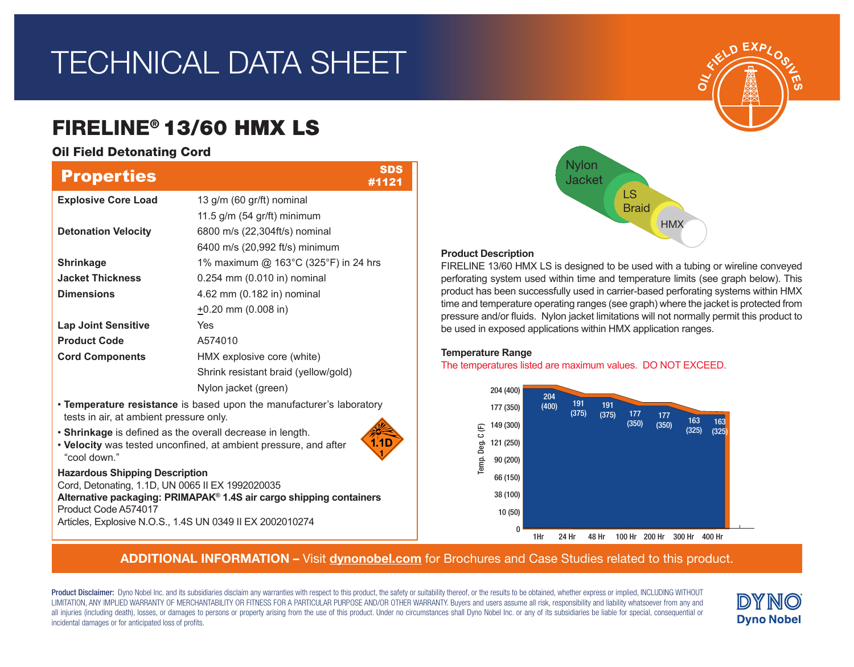# TECHNICAL DATA SHEET

# FIRELINE® 13/60 HMX LS

## Oil Field Detonating Cord

| <b>Properties</b>                                         | <b>SDS</b><br>#1121                                                  |  |  |  |  |  |
|-----------------------------------------------------------|----------------------------------------------------------------------|--|--|--|--|--|
| <b>Explosive Core Load</b>                                | 13 g/m (60 gr/ft) nominal                                            |  |  |  |  |  |
|                                                           | 11.5 $g/m$ (54 $gr/ft$ ) minimum                                     |  |  |  |  |  |
| <b>Detonation Velocity</b>                                | 6800 m/s (22,304ft/s) nominal                                        |  |  |  |  |  |
|                                                           | 6400 m/s (20,992 ft/s) minimum                                       |  |  |  |  |  |
| <b>Shrinkage</b>                                          | 1% maximum @ 163°C (325°F) in 24 hrs                                 |  |  |  |  |  |
| <b>Jacket Thickness</b>                                   | 0.254 mm (0.010 in) nominal                                          |  |  |  |  |  |
| <b>Dimensions</b>                                         | 4.62 mm (0.182 in) nominal                                           |  |  |  |  |  |
|                                                           | $\pm 0.20$ mm (0.008 in)                                             |  |  |  |  |  |
| <b>Lap Joint Sensitive</b>                                | Yes                                                                  |  |  |  |  |  |
| <b>Product Code</b>                                       | A574010                                                              |  |  |  |  |  |
| <b>Cord Components</b>                                    | HMX explosive core (white)                                           |  |  |  |  |  |
|                                                           | Shrink resistant braid (yellow/gold)                                 |  |  |  |  |  |
|                                                           | Nylon jacket (green)                                                 |  |  |  |  |  |
| tests in air, at ambient pressure only.                   | • Temperature resistance is based upon the manufacturer's laboratory |  |  |  |  |  |
| • Shrinkage is defined as the overall decrease in length. |                                                                      |  |  |  |  |  |

• **Velocity** was tested unconfined, at ambient pressure, and after "cool down."

### **Hazardous Shipping Description**

Cord, Detonating, 1.1D, UN 0065 II EX 1992020035 **Alternative packaging: PRIMAPAK® 1.4S air cargo shipping containers** Product Code A574017 Articles, Explosive N.O.S., 1.4S UN 0349 II EX 2002010274

# **Product Description**

FIRELINE 13/60 HMX LS is designed to be used with a tubing or wireline conveyed perforating system used within time and temperature limits (see graph below). This product has been successfully used in carrier-based perforating systems within HMX time and temperature operating ranges (see graph) where the jacket is protected from pressure and/or fluids. Nylon jacket limitations will not normally permit this product to be used in exposed applications within HMX application ranges.

LS **Braid** 

**HMX** 

### **Temperature Range**

The temperatures listed are maximum values. DO NOT EXCEED.

Nylon Jacket



## ADDITIONAL INFORMATION – Visit dynonobel.com for Brochures and Case Studies related to this product.

Product Disclaimer: Dyno Nobel Inc. and its subsidiaries disclaim any warranties with respect to this product, the safety or suitability thereof, or the results to be obtained, whether express or implied, INCLUDING WITHOUT LIMITATION, ANY IMPLIED WARRANTY OF MERCHANTABILITY OR FITNESS FOR A PARTICULAR PURPOSE AND/OR OTHER WARRANTY. Buyers and users assume all risk, responsibility and liability whatsoever from any and all injuries (including death), losses, or damages to persons or property arising from the use of this product. Under no circumstances shall Dyno Nobel Inc. or any of its subsidiaries be liable for special, consequential o incidental damages or for anticipated loss of profits.

1.1D